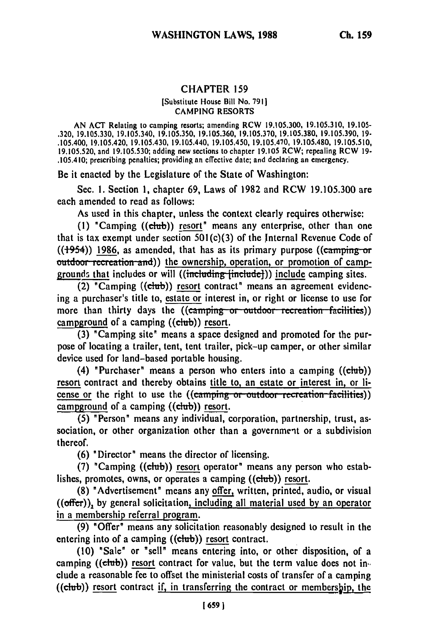## CHAPTER **159**

## [Substitute House Bill No. 7911 CAMPING RESORTS

AN ACT Relating to camping resorts; amending RCW 19.105.300, 19.105.310, 19.105- .320, 19.105.330, 19.105.340, 19.105.350, 19.105.360, 19.105.370, 19.105.380, 19.105.390, **19-** .105.400, 19.105.420, 19.105.430, 19.105.440, 19.105.450, 19.105.470, 19.105.480, 19.105.510, 19.105.520, and 19.105.530; adding new sections to chapter 19.105 RCW; repealing RCW **19-** .105.410; prescribing penalties; providing an effective date; and declaring an emergency.

Be it enacted by the Legislature of the State of Washington:

Sec. **1.** Section 1, chapter 69, Laws of 1982 and RCW 19.105.300 are each amended to read as follows:

As used in this chapter, unless the context clearly requires otherwise:

**(1)** "Camping ((Club)) resort" means any enterprise, other than one that is tax exempt under section 501 (c)(3) of the Internal Revenue Code of  $((1954))$  1986, as amended, that has as its primary purpose  $((\text{camping or})$ **outdoor recreation and)) the ownership, operation, or promotion of camp**grounds that includes or will ((including [include])) include camping sites.

(2) "Camping  $((\text{club}))$  resort contract" means an agreement evidencing a purchaser's title to, estate or interest in, or right or license to use for more than thirty days the ((camping or outdoor recreation facilities)) campground of a camping ((club)) resort.

(3) "Camping site' means a space designed and promoted for the purpose of locating a trailer, tent, tent trailer, pick-up camper, or other similar device used for land-based portable housing.

(4) "Purchaser" means a person who enters into a camping  $((ebub))$ resort contract and thereby obtains title to, an estate or interest in, or license or the right to use the ((camping or outdoor recreation facilities)) campground of a camping  $((\text{club}))$  resort.

**(5)** "Person" means any individual, corporation, partnership, trust, association, or other organization other than a government or a subdivision thereof.

(6) "Director" means the director of licensing.

(7) "Camping  $((ebub))$  resort operator" means any person who establishes, promotes, owns, or operates a camping ((club)) resort.

(8) "Advertisement" means any offer, written, printed, audio, or visual ((offer)), by general solicitation, including all material used **by** an operator in a membership referral program.

(9) "Offer" means any solicitation reasonably designed to result in the entering into of a camping ((club)) resort contract.

(10) "Sale" or "sell" means entering into, or other disposition, of a camping ((club)) resort contract for value, but the term value does not in. elude a reasonable fee to offset the ministerial costs of transfer of a camping ((club)) resort contract if, in transferring the contract or membership, the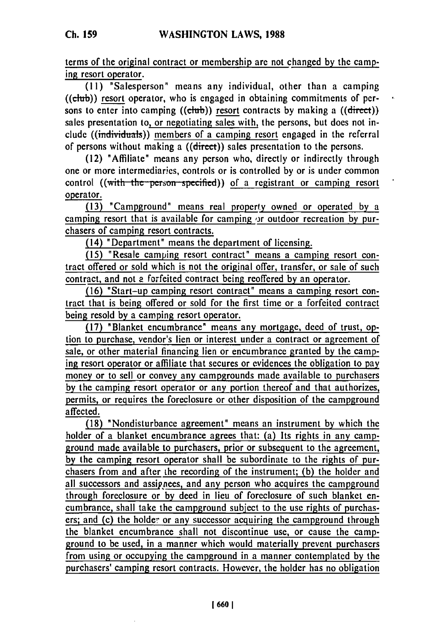terms of the original contract or membership are not changed **by** the camping resort operator.

(11) "Salesperson" means any individual, other than a camping  $((\text{club}) )$  resort operator, who is engaged in obtaining commitments of persons to enter into camping ((chub)) resort contracts by making a ((direct)) sales presentation to, or negotiating sales with, the persons, but does not include ((individuals)) members of a camping resort engaged in the referral of persons without making a ((direct)) sales presentation to the persons.

(12) "Affiliate" means any person who, directly or indirectly through one or more intermediaries, controls or is controlled by or is under common control ((with the person specified)) of a registrant or camping resort operator.

(13) "Campground" means real property owned or operated by a camping resort that is available for camping **or** outdoor recreation by purchasers of camping resort contracts.

(14) "Department" means the department of licensing.

(15) "Resale camping resort contract" means a camping resort contract offered or sold which is not the original offer, transfer, or sale of such contract, and not a forfeited contract being reoffered by an operator.

(16) "Start-up camping resort contract" means a camping resort contract that is being offered or sold for the first time or a forfeited contract being resold by a camping resort operator.

(17) "Blanket encumbrance" means any mortgage, deed of trust, option to purchase, vendor's lien or interest under a contract or agreement of sale, or other material financing lien or encumbrance granted by the camping resort operator or affiliate that secures or evidences the obligation to pay money or to sell or convey any campgrounds made available to purchasers by the camping resort operator or any portion thereof and that authorizes, permits, or requires the foreclosure or other disposition of the campground affected.

(18) "Nondisturbance agreement" means an instrument by which the holder of a blanket encumbrance agrees that: (a) Its rights in any campground made available to purchasers, prior or subsequent to the agreement, by the camping resort operator shall be subordinate to the rights of purchasers from and after the recording of the instrument; (b) the holder and all successors and assippees, and any person who acquires the campground through foreclosure or by deed in lieu of foreclosure of such blanket encumbrance, shall take the campground subject to the use rights of purchasers; and (c) the holder or any successor acquiring the campground through the blanket encumbrance shall not discontinue use, or cause the campground to be used, in a manner which would materially prevent purchasers from using or occupying the campground in a manner contemplated by the purchasers' camping resort contracts. However, the holder has no obligation

**1 660 I**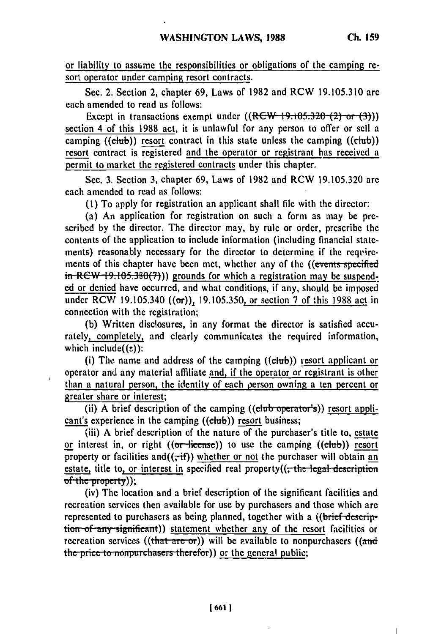or liability to assume the responsibilities or obligations of the camping resort operator under camping resort contracts.

Sec. 2. Section 2, chapter 69, Laws of 1982 and RCW 19.105.310 **are** each amended to read as follows:

Except in transactions exempt under  $((RCW-19.105.320-(2) \text{ or } (3)))$ section 4 of this 1988 act, it is unlawful for any person to offer or sell a camping ((club)) resort contract in this state unless the camping ((club)) resort contract is registered and the operator or registrant has received a permit to market the registered contracts under this chapter.

Sec. **3.** Section **3,** chapter **69,** Laws of 1982 and RCW 19.105.320 are each amended to read as follows:

**(1)** To apply for registration an applicant shall file with the director:

(a) An application for registration on such a form as may be prescribed **by** the director. The director may, **by** rule or order, prescribe the contents of the application to include information (including financial statements) reasonably necessary for the director to determine if the requirements of this chapter have been met, whether any of the ((events specified **in-RCW-19.105.380(7))** grounds for which a registration may be suspended or denied have occurred, and what conditions, if any, should be imposed under RCW 19.105.340 ((or)), 19.105.350, or section 7 of this **1988** act in connection with the registration;

(b) Written disclosures, in any format the director is satisfied accurately, completely, and clearly communicates the required information, which include $((s))$ :

(i) The name and address of the camping  $((\text{elub}))$  resort applicant or operator and any material affiliate and, if the operator or registrant is other than a natural person, the identity of each person owning a ten percent or greater share or interest;

(ii) A brief description of the camping  $((ebab operator's))$  resort applicant's experience in the camping ((club)) resort business;

(iii) A brief description of the nature of the purchaser's title to, estate or interest in, or right  $((or$  license)) to use the camping  $((\text{club}))$  resort property or facilities and  $((\vec{f})$  whether or not the purchaser will obtain an estate, title to, or interest in specified real property((, the legal description of the property));

(iv) The location and a brief description of the significant facilities and recreation services then available for use **by** purchasers and those which are represented to purchasers as being planned, together with a ((brief description of any significant)) statement whether any of the resort facilities or recreation services ((that are or)) will be available to nonpurchasers ((and the price to nonpurchasers therefor)) or the general public;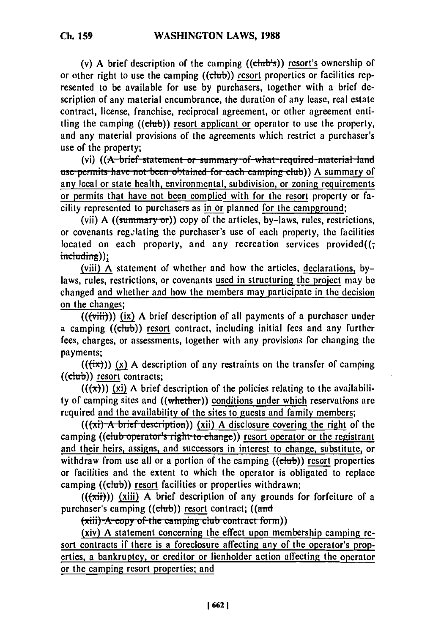**Ch. 159**

(v) A brief description of the camping ((club's)) resort's ownership of or other right to use the camping  $((\text{ctub}))$  resort properties or facilities represented to be available for use by purchasers, together with a brief description of any material encumbrance, the duration of any lease, real estate contract, license, franchise, reciprocal agreement, or other agreement entitling the camping **((chub))** resort applicant or operator to use the property, and any material provisions of the agreements which restrict a purchaser's use of the property;

(vi) ((A brief statement or summary of what required material land **use permits have not been obtained for each camping club))** A summary of any local or state health, environmental, subdivision, or zoning requirements or permits that have not been complied with for the resort property or facility represented to purchasers as in or planned for the campground;

(vii) A ((summary or)) copy of the articles, by-laws, rules, restrictions, or covenants regulating the purchaser's use of each property, the facilities located on each property, and any recreation services provided( $($ ; including));

(viii) **A** statement of whether and how the articles, declarations, **by**laws, rules, restrictions, or covenants used in structuring the project may be changed and whether and how the members may participate in the decision on the changes;

**(((viii)))** (ix) A brief description of all payments of a purchaser under a camping  $((\text{club}))$  resort contract, including initial fees and any further fees, charges, or assessments, together with any provisions for changing the payments;

 $((\overrightarrow{tx}))$  (x) A description of any restraints on the transfer of camping  $((\text{club}))$  resort contracts;

 $((\star \star))$  (xi) A brief description of the policies relating to the availability of camping sites and ((whether)) conditions under which reservations are required and the availability of the sites to guests and family members;

 $((\overrightarrow{x})$  A brief description)) (xii) A disclosure covering the right of the camping ((club operator's right to change)) resort operator or the registrant and their heirs, assigns, and successors in interest to change, substitute, or withdraw from use all or a portion of the camping  $((\text{club}))$  resort properties or facilities and the extent to which the operator is obligated to replace camping ((club)) resort facilities or properties withdrawn;

 $((\star \text{iii}))$  (xiii) A brief description of any grounds for forfeiture of a purchaser's camping  $((\text{club}))$  resort contract;  $((\text{and}$ 

 $(xii)$   $\vec{A}$  copy of the camping club contract form))

(xiv) A statement concerning the effect upon membership camping **re**sort contracts if there is a foreclosure affecting any of the operator's properties, a bankruptcy, or creditor or lienholder action affecting the operator or the camping resort properties; and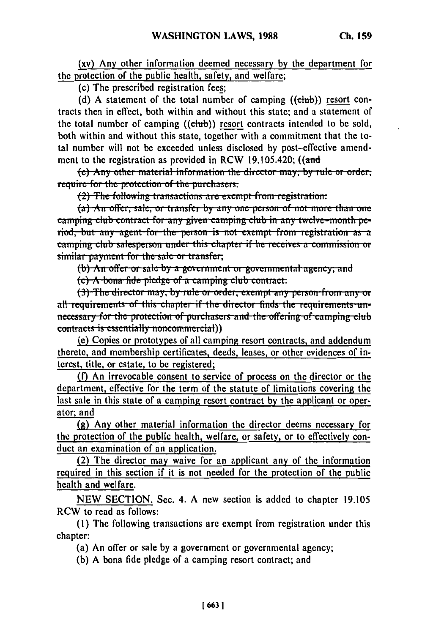(xv) Any other information deemed necessary by the department for the protection of the public health, safety, and welfare;

(c) The prescribed registration fees;

(d) A statement of the total number of camping ((club)) resort contracts then in effect, both within and without this state; and a statement of the total number of camping ((club)) resort contracts intended to be sold, both within and without this state, together with a commitment that the total number will not be exceeded unless disclosed by post-effective amendment to the registration as provided in RCW 19.105.420;  $((\text{and}$ 

(e) Any other material information the director may, by rule or order. require for the protection of the purchasers.

(2) The following transactions are exempt from registration:

(a) An offer, sale, or transfer by any one person of not more than one camping club contract for any given camping club in any twelve-month period, but any agent for the person is not exempt from registration as a camping club salesperson under this chapter if he receives a commission or similar payment for the sale or transfer;

(b) An offer or sale by a government or governmental agency; and

 $(c)$  A bona fide pledge of a camping club contract.

(3) The director may, by rule or order, exempt any person from any or all-requirements of this-chapter if the director finds the requirements unnecessary for the protection of purchasers and the offering of camping club contracts is essentially noncommercial)

(e) Copies or prototypes of all camping resort contracts, and addendum thereto, and membership certificates, deeds, leases, or other evidences of interest, title, or estate, to be registered;

(f) An irrevocable consent to service of process on the director or the department, effective for the term of the statute of limitations covering the last sale in this state of a camping resort contract by the applicant or operator: and

(g) Any other material information the director deems necessary for the protection of the public health, welfare, or safety, or to effectively conduct an examination of an application.

(2) The director may waive for an applicant any of the information required in this section if it is not needed for the protection of the public health and welfare.

NEW SECTION. Sec. 4. A new section is added to chapter 19.105 RCW to read as follows:

(1) The following transactions are exempt from registration under this chapter:

(a) An offer or sale by a government or governmental agency;

(b) A bona fide pledge of a camping resort contract; and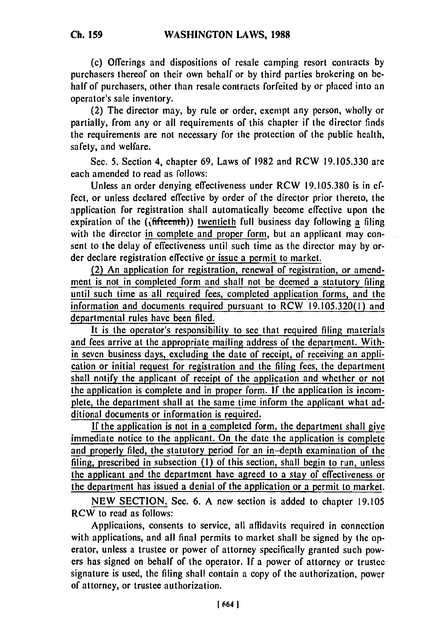(c) Offerings and dispositions of resale camping resort contracts **by** purchasers thereof on their own behalf or by third parties brokering on behalf of purchasers, other than resale contracts forfeited by or placed into an operator's sale inventory.

(2) The director may, by rule or order, exempt any person, wholly or partially, from any or all requirements of this chapter if the director finds the requirements are not necessary for the protection of the public health, safety, and welfare.

Sec. 5. Section 4, chapter 69, Laws of 1982 and RCW 19.105.330 are each amended to read as follows:

Unless an order denying effectiveness under RCW 19.105.380 is in effect, or unless declared effective by order of the director prior thereto, the application for registration shall automatically become effective upon the expiration of the ((fifteenth)) twentieth full business day following a filing with the director in complete and proper form, but an applicant may consent to the delay of effectiveness until such time as the director may by order declare registration effective or issue a permit to market.

(2) An application for registration, renewal of registration, or amendment is not in completed form and shall not be deemed a statutory filing until such time as all required fees, completed application forms, and the information and documents required pursuant to RCW 19.105.320(1) and departmental rules have been filed.

It is the operator's responsibility to see that required filing materials and fees arrive at the appropriate mailing address of the department. Within seven business days, excluding the date of receipt, of receiving an application or initial request for registration and the filing fees, the department shall notify the applicant of receipt of the application and whether or not the application is complete and in proper form. **If** the application is incomplete, the department shall at the same time inform the applicant what additional documents or information is required.

If the application is not in a completed form, the department shall give immediate notice to the applicant. On the date the application is complete and properly filed, the statutory period for an in-depth examination of the filing, prescribed in subsection (I) of this section, shall begin to run, unless the applicant and the department have agreed to a stay of effectiveness or the department has issued a denial of the application or a permit to market.

NEW SECTION. Sec. 6. A new section is added to chapter 19.105 RCW to read as follows:

Applications, consents to service, all affidavits required in connection with applications, and all final permits to market shall be signed by the operator, unless a trustee or power of attorney specifically granted such powers has signed on behalf of the operator. If a power of attorney or trustee signature is used, the filing shall contain a copy of the authorization, power of attorney, or trustee authorization.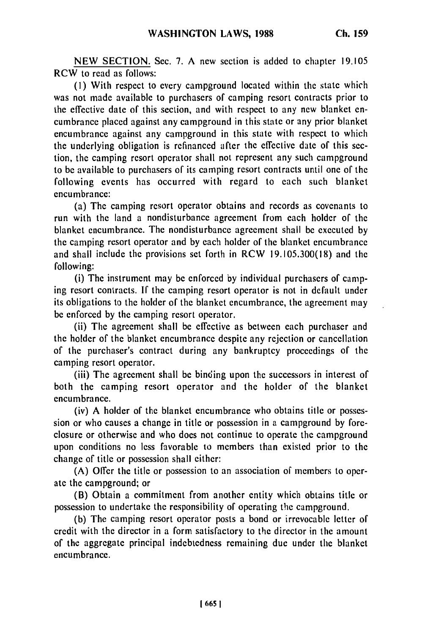NEW **SECTION.** Sec. **7. A** new section is added to chapter **19.105** RCW to read as follows:

**(I)** With respect to every campground located within **the** state which was not made available to purchasers of camping resort contracts prior to the effective date of this section, and with respect to any new blanket encumbrance placed against any campground in this state or any prior blanket encumbrance against any campground in this state with respect to which the underlying obligation is refinanced after the effective date of this section, the camping resort operator shall not represent any such campground to be available to purchasers of its camping resort contracts until one of the following events has occurred with regard to each such blanket encumbrance:

(a) The camping resort operator obtains and records as covenants to run with the land a nondisturbance agreement from each holder of the blanket encumbrance. The nondisturbance agreement shall be executed by the camping resort operator and by each holder of the blanket encumbrance and shall include the provisions set forth in RCW **19.105.300(18)** and the following:

(i) The instrument may be enforced by individual purchasers of camping resort contracts. **If** the camping resort operator is not in default under its obligations to the holder of the blanket encumbrance, the agreement may be enforced by the camping resort operator.

(ii) The agreement shall be effective as between each purchaser and the holder of the blanket encumbrance despite any rejection or cancellation of the purchaser's contract during any bankruptcy proceedings of the camping resort operator.

(iii) The agreement shall be binding upon the successors in interest of both the camping resort operator and the holder of the blanket encumbrance.

(iv) A holder of the blanket encumbrance who obtains title or possession or who causes a change in title or possession in a campground by foreclosure or otherwise and who does not continue to operate the campground upon conditions no less favorable to members than existed prior to the change of title or possession shall either:

(A) Offer the title or possession to an association of members to operate the campground; or

(B) Obtain a commitment from another entity which obtains title or possession to undertake the responsibility of operating the campground.

(b) The camping resort operator posts a bond or irrevocable letter of credit with the director in a form satisfactory to the director in the amount of the aggregate principal indebtedness remaining due under the blanket encumbrance.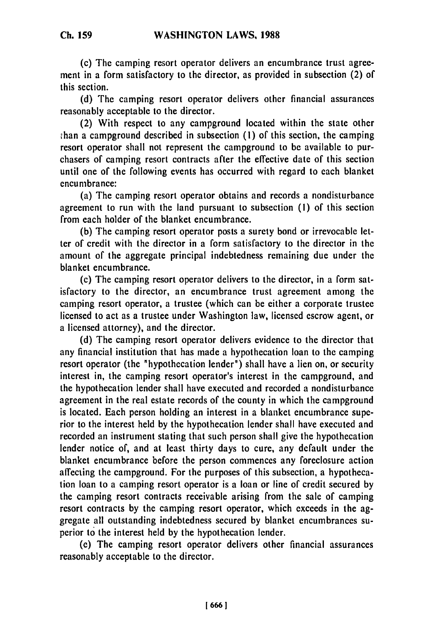(c) The camping resort operator delivers an encumbrance trust agree-

ment in a form satisfactory to the director, as provided in subsection (2) of this section.

(d) The camping resort operator delivers other financial assurances reasonably acceptable to the director.

(2) With respect to any campground located within the state other than a campground described in subsection (1) of this section, the camping resort operator shall not represent the campground to be available to purchasers of camping resort contracts after the effective date of this section until one of the following events has occurred with regard to each blanket encumbrance:

(a) The camping resort operator obtains and records a nondisturbance agreement to run with the land pursuant to subsection (I) of this section from each holder of the blanket encumbrance.

(b) The camping resort operator posts a surety bond or irrevocable letter of credit with the director in a form satisfactory to the director in the amount of the aggregate principal indebtedness remaining due under the blanket encumbrance.

(c) The camping resort operator delivers to the director, in a form satisfactory to the director, an encumbrance trust agreement among the camping resort operator, a trustee (which can be either a corporate trustee licensed to act as a trustee under Washington law, licensed escrow agent, or a licensed attorney), and the director.

(d) The camping resort operator delivers evidence to the director that any financial institution that has made a hypothecation loan to the camping resort operator (the "hypothecation lender") shall have a lien on, or security interest in, the camping resort operator's interest in the campground, and the hypothecation lender shall have executed and recorded a nondisturbance agreement in the real estate records of the county in which the campground is located. Each person holding an interest in a blanket encumbrance superior to the interest held by the hypothecation lender shall have executed and recorded an instrument stating that such person shall give the hypothecation lender notice of, and at least thirty days to cure, any default under the blanket encumbrance before the person commences any foreclosure action affecting the campground. For the purposes of this subsection, a hypothecation loan to a camping resort operator is a loan or line of credit secured by the camping resort contracts receivable arising from the sale of camping resort contracts by the camping resort operator, which exceeds in the aggregate all outstanding indebtedness secured by blanket encumbrances superior to the interest held by the hypothecation lender.

(e) The camping resort operator delivers other financial assurances reasonably acceptable to the director.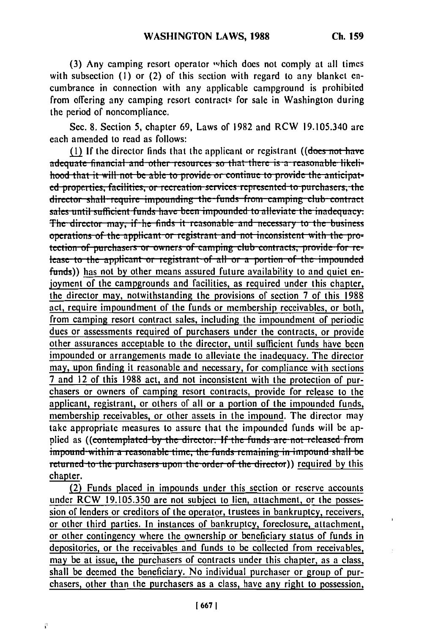ï

(3) Any camping resort operator which does not comply at all times with subsection (1) or (2) of this section with regard to any blanket encumbrance in connection with any applicable campground is prohibited from offering any camping resort contracts for sale in Washington during the period of noncompliance.

Sec. 8. Section 5, chapter 69, Laws of 1982 and RCW 19.105.340 are each amended to read as follows:

(1) If the director finds that the applicant or registrant ((does not have adequate financial and other resources so that there is a reasonable likelihood that it will not be able to provide or continue to provide the anticipated properties, facilities, or recreation services represented to purchasers, the director shall require impounding the funds from camping club contract sales until sufficient funds have been impounded to alleviate the inadequacy. The director may, if he finds it reasonable and necessary to the business operations of the applicant or registrant and not inconsistent with the protection of purchasers or owners of camping club contracts, provide for release to the applicant or registrant of all or a portion of the impounded funds)) has not by other means assured future availability to and quiet enjoyment of the campgrounds and facilities, as required under this chapter, the director may, notwithstanding the provisions of section 7 of this 1988 act, require impoundment of the funds or membership receivables, or both, from camping resort contract sales, including the impoundment of periodic dues or assessments required of purchasers under the contracts, or provide other assurances acceptable to the director, until sufficient funds have been impounded or arrangements made to alleviate the inadequacy. The director may, upon finding it reasonable and necessary, for compliance with sections 7 and 12 of this 1988 act, and not inconsistent with the protection of purchasers or owners of camping resort contracts, provide for release to the applicant, registrant, or others of all or a portion of the impounded funds, membership receivables, or other assets in the impound. The director may take appropriate measures to assure that the impounded funds will be applied as ((contemplated by the director: If the funds are not released from impound-within a reasonable time, the funds remaining in impound shall be returned to the purchasers upon the order of the director) required by this chapter.

(2) Funds placed in impounds under this section or reserve accounts under RCW 19.105.350 are not subject to lien, attachment, or the possession of lenders or creditors of the operator, trustees in bankruptcy, receivers, or other third parties. In instances of bankruptcy, foreclosure, attachment, or other contingency where the ownership or beneficiary status of funds in depositories, or the receivables and funds to be collected from receivables, may be at issue, the purchasers of contracts under this chapter, as a class, shall be deemed the beneficiary. No individual purchaser or group of purchasers, other than the purchasers as a class, have any right to possession,

ÿ.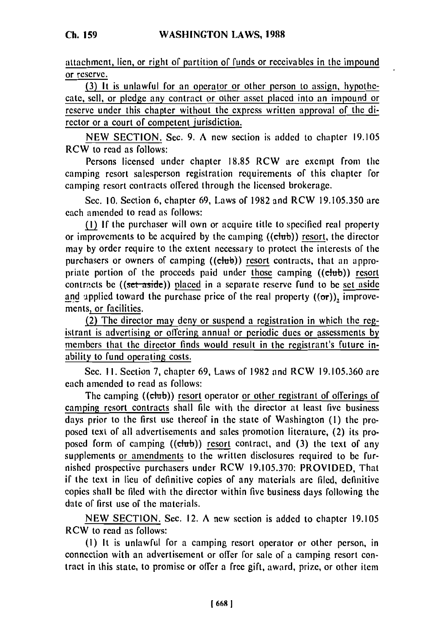attachment, lien, or right of partition of funds or receivables in the impound or reserve.

**(3)** It is unlawful for an operator or other person to assign, hypothecate, sell, or pledge any contract or other asset placed into an impound or reserve under this chapter without the express written approval of the director or a court of competent jurisdiction.

NEW SECTION. Sec. 9. A new section is added to chapter 19.105 RCW to read as follows:

Persons licensed under chapter 18.85 RCW are excmpt from the camping resort salesperson registration requirements of this chapter for camping resort contracts offered through the licensed brokerage.

Sec. **10.** Section 6, chapter 69, Laws of 1982 and RCW 19.105.350 are each amended to read as follows:

(1) If the purchaser will own or acquire title to specified real property or improvements to be acquired by the camping  $((\text{ctub}))$  resort, the director may by order require to the extent necessary to protect the interests of the purchasers or owners of camping ((club)) resort contracts, that an appropriate portion of the proceeds paid under those camping ((club)) resort contracts be ((set-aside)) placed in a separate reserve fund to be set aside and applied toward the purchase price of the real property  $(6\sigma)$ , improvements, or facilities.

(2) The director may deny or suspend a registration in which the registrant is advertising or offering annual or periodic dues or assessments by members that the director finds would result in the registrant's future inability to fund operating costs.

Sec. 11. Section 7, chapter 69, Laws of 1982 and RCW 19.105.360 are each amended to read as follows:

The camping ((club)) resort operator or other registrant of offerings of camping resort contracts shall file with the director at least five business days prior to the first use thereof in the state of Washington **(I)** the proposed text of all advertisements and sales promotion literature, (2) its proposed form of camping  $((\text{club}))$  resort contract, and  $(3)$  the text of any supplements or amendments to the written disclosures required to be furnished prospective purchasers under RCW 19.105.370: PROVIDED, That if the text in lieu of definitive copies of any materials are filed, definitive copies shall be filed with the director within five business days following the date of first use of the materials.

NEW SECTION. Sec. 12. A new section is added to chapter 19.105 RCW to read as follows:

**(I)** It is unlawful for a camping resort operator or other person, in connection with an advertisement or offer for sale of a camping resort contract in this state, to promise or offer a free gift, award, prize, or other item

**Ch. 159**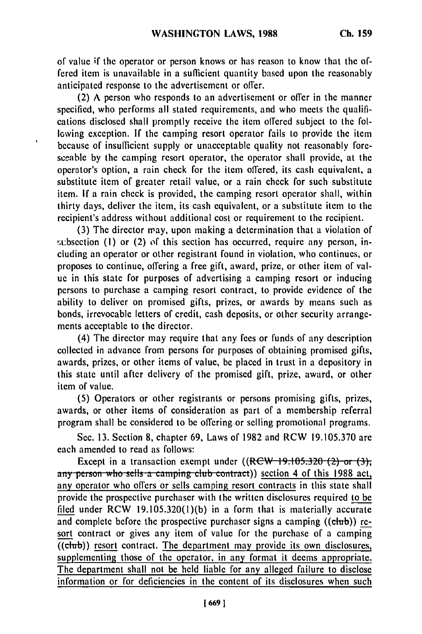of value if the operator or person knows or has reason to know that the offered item is unavailable in a sufficient quantity based upon the reasonably anticipated response to the advertisement or offer.

(2) A person who responds to an advertisement or offer in the manner specified, who performs all stated requirements, and who meets the qualifications disclosed shall promptly receive the item offered subject to the following exception. If the camping resort operator fails to provide the item because of insufficient supply or unacceptable quality not reasonably foreseeable by the camping resort operator, the operator shall provide, at the operator's option, a rain check for the item offered, its cash equivalent, a substitute item of greater retail value, or a rain check for such substitute item. If a rain check is provided, the camping resort operator shall, within thirty days, deliver the item, its cash equivalent, or a substitute item to the recipient's address without additional cost or requirement to the recipient.

 $\ddot{\phantom{0}}$ 

(3) The director may, upon making a determination that a violation of !;t:bsection **(I)** or (2) **of** this section has occurred, require any person, including an operator or other registrant found in violation, who continues, or proposes to continue, offering a free gift, award, prize, or other item of value in this state for purposes of advertising a camping resort or inducing persons to purchase a camping resort contract, to provide evidence of the ability to deliver on promised gifts, prizes, or awards by means such as bonds, irrevocable letters of credit, cash deposits, or other security arrangements acceptable to the director.

(4) The director may require that any fees or funds of any description collected in advance from persons for purposes of obtaining promised gifts, awards, prizes, or other items of value, be placed in trust in a depository in this state until after delivery of the promised gift, prize, award, or other item of value.

(5) Operators or other registrants or persons promising gifts, prizes, awards, or other items of consideration as part of a membership referral program shall be considered to be offering or selling promotional programs.

Sec. 13. Section 8, chapter 69, Laws of 1982 and RCW 19.105.370 are each amended to read as follows:

Except in a transaction exempt under  $((RCW-19.105.320-(2))$  or  $(3)$ , any person who sells a camping club contract)) section 4 of this 1988 act, any operator who offers or sells camping resort contracts in this state shall provide the prospective purchaser with the written disclosures required to be filed under  $RCW$  19.105.320(1)(b) in a form that is materially accurate and complete before the prospective purchaser signs a camping ((club)) resort contract or gives any item of value for the purchase of a camping  $\overline{(\text{club})}$  resort contract. The department may provide its own disclosures, supplementing those of the operator, in any format it deems appropriate. The department shall not be held liable for any alleged failure to disclose information or for deficiencies in the content of its disclosures when such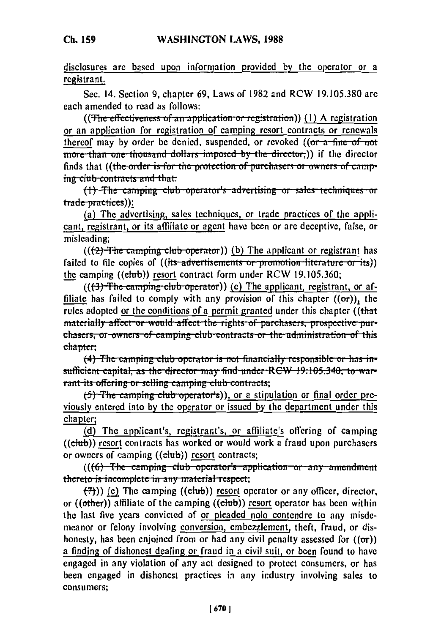disclosures are based upon information provided by the operator or a registrant.

Sec. 14. Section 9, chapter 69, Laws of 1982 and RCW 19.105.380 are each amended to read as follows:

((The effectiveness of an application or registration)) (1) A registration or an application for registration of camping resort contracts or renewals thereof may by order be denied, suspended, or revoked ((or a fine of not more than one thousand dollars imposed by the director.)) if the director finds that ((the order is for the protection of purchasers or owners of camping club-contracts and that:

(1) The camping club operator's advertising or sales techniques or trade practices)):

(a) The advertising, sales techniques, or trade practices of the applicant, registrant, or its affiliate or agent have been or are deceptive, false, or misleading;

 $((2)$  The camping club operator)) (b) The applicant or registrant has failed to file copies of ((its advertisements or promotion literature or its)) the camping ((club)) resort contract form under RCW 19.105.360;

 $((3)$  The camping club operator)) (c) The applicant, registrant, or affiliate has failed to comply with any provision of this chapter  $((\sigma r))$ , the rules adopted or the conditions of a permit granted under this chapter ((that materially affect or would affect the rights of purchasers, prospective purchasers, or owners of camping club contracts or the administration of this chapter:

 $(4)$  The camping club operator is not financially responsible or has insufficient capital, as the director may find under RCW 19.105.340, to warrant its offering or selling camping club contracts;

(5) The camping club operator's)), or a stipulation or final order previously entered into by the operator or issued by the department under this chapter;

(d) The applicant's, registrant's, or affiliate's offering of camping ((club)) resort contracts has worked or would work a fraud upon purchasers or owners of camping ((club)) resort contracts;

 $((6)$ -The-camping-club operator's application or any amendment thereto is incomplete in any material respect;

 $(\overline{7})$ ) (c) The camping ((club)) resort operator or any officer, director, or  $((other))$  affiliate of the camping  $(\overline{(club)})$  resort operator has been within the last five years convicted of or pleaded nolo contendre to any misdemeanor or felony involving conversion, embezzlement, theft, fraud, or dishonesty, has been enjoined from or had any civil penalty assessed for  $((\sigma r))$ a finding of dishonest dealing or fraud in a civil suit, or been found to have engaged in any violation of any act designed to protect consumers, or has been engaged in dishonest practices in any industry involving sales to consumers: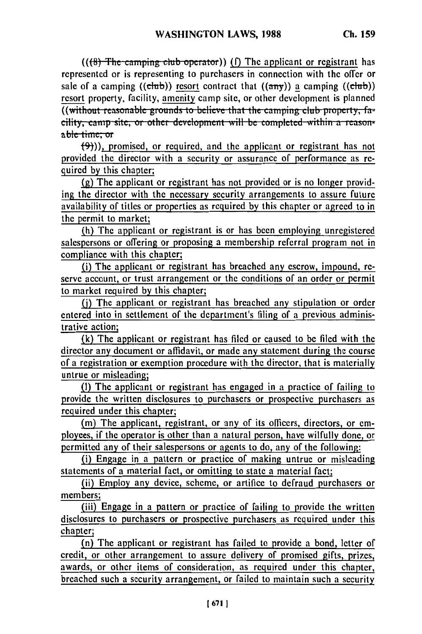(((8) The camping club operator)) (f) The applicant or registrant has represented or is representing to purchasers in connection with the offer or sale of a camping ((club)) resort contract that  $((a\eta y))$  a camping ((club)) resort property, facility, amenity camp site, or other development is planned **((without reasonable grounds to believe that the camping club property, fa***diity, camp site, or other development will be completed within a reason*able-time: or

 $\{\Theta\}$ )), promised, or required, and the applicant or registrant has not provided the director with a security or assurance of performance as required by this chapter;

(g) The applicant or registrant has not provided or is no longer providing the director with the necessary security arrangements to assure future availability of titles or properties as required by this chapter or agreed to in the permit to market;

(h) The applicant or registrant is or has been employing unregistered salespersons or offering or proposing a membership referral program not in compliance with this chapter;

(i) The applicant or registrant has breached any escrow, impound, reserve account, or trust arrangement or the conditions of an order or permit to market required by this chapter;

**()** The applicant or registrant has breached any stipulation or order entered into in settlement of the department's filing of a previous administrative action;

(k) The applicant or registrant has filed or caused to be filed with the director any document or affidavit, or made any statement during the course of a registration or exemption procedure with the director, that is materially untrue or misleading;

(I) The applicant or registrant has engaged in a practice of failing to provide the written disclosures to purchasers or prospective purchasers as required under this chapter;

(m) The applicant, registrant, or any of its officers, directors, or employees, if the operator is other than a natural person, have wilfully done, or permitted any of their salespersons or agents to do, any of the following:

(i) Engage in a pattern or practice of making untrue or misleading statements of a material fact, or omitting to state a material fact;

(ii) Employ any device, scheme, or artifice to defraud purchasers or members;

(iii) Engage in a pattern or practice of failing to provide the written disclosures to purchasers or prospective purchasers as required under this chapter;

(n) The applicant or registrant has failed to provide a bond, letter of credit, or other arrangement to assure delivery of promised gifts, prizes, awards, or other items of consideration, as required under this chapter, breached such a security arrangement, or failed to maintain such a security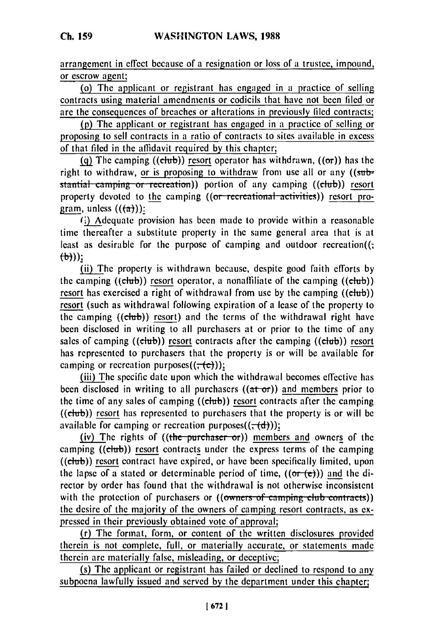arrangement in effect because of a resignation or loss of a trustee, impound, or escrow agent;

(o) The applicant or registrant has engaged in a practice of selling contracts using material amendments or codicils that have not been filed or are the consequences of breaches or alterations in previously filed contracts;

(p) The applicant or registrant has engaged in a practice of selling or proposing to sell contracts in a ratio of contracts to sites available in excess of that filed in the affidavit required **by** this chapter;

(q) The camping ((chub)) resort operator has withdrawn,  $((\sigma r))$  has the right to withdraw, or is proposing to withdraw from use all or any  $((sub-)$ stantial camping or recreation)) portion of any camping ((club)) resort property devoted to the camping ((or recreational activities)) resort program, unless  $((\overline{a}))$ :

**(.)** Adequate provision has been made to provide within a reasonable time thereafter a substitute property in the same general area that is at least as desirable for the purpose of camping and outdoor recreation((  $(\theta)$ )):<br>(ii) The property is withdrawn because, despite good faith efforts by

the camping  $((\text{club}))$  resort operator, a nonaffiliate of the camping  $((\text{club}))$ resort has exercised a right of withdrawal from use by the camping  $((\text{club}))$ resort (such as withdrawal following expiration of a lease of the property to the camping  $((\text{ctub}))$  resort) and the terms of the withdrawal right have been disclosed in writing to all purchasers at or prior to the time of any sales of camping  $((\text{club}))$  resort contracts after the camping  $((\text{club}))$  resort has represented to purchasers that the property is or will be available for camping or recreation purposes $((\tau(e)))$ ;

(iii) The specific date upon which the withdrawal becomes effective has been disclosed in writing to all purchasers  $((at- $\sigma$ ))$  and members prior to the time of any sales of camping  $((\text{ctub}))$  resort contracts after the camping  $((\text{elub}))$  resort has represented to purchasers that the property is or will be available for camping or recreation purposes $((, (d))$ ;

(iv) The rights of  $((the pure haser- or))$  members and owners of the camping ((club)) resort contracts under the express terms of the camping  $((\text{club}))$  resort contract have expired, or have been specifically limited, upon the lapse of a stated or determinable period of time,  $((or-(e)))$  and the director by order has found that the withdrawal is not otherwise inconsistent with the protection of purchasers or ((owners of camping club contracts)) the desire of the majority of the owners of camping resort contracts, as expressed in their previously obtained vote of approval;

(r) The format, form, or content of the written disclosures provided therein is not complete, full, or materially accurate, or statements made therein are materially false, misleading, or deceptive;

(s) The applicant or registrant has failed or declined to respond to any subpoena lawfully issued and served by the department under this chapter;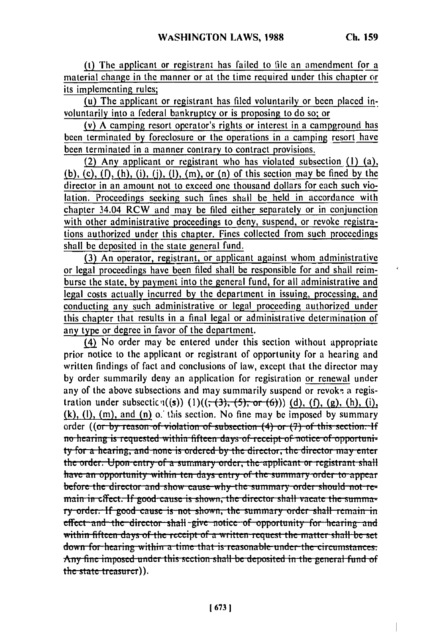(t) The applicant or registrant has failed to file an amendment for a material change in the manner or at the time required under this chapter or its implementing rules;

(u) The applicant or registrant has filed voluntarily or been placed involuntarily into a federal bankruptcy or is proposing to do so; or

(v) A camping resort operator's rights or interest in a campground has been terminated by foreclosure or the operations in a camping resort have been terminated in a manner contrary to contract provisions.

(2) Any applicant or registrant who has violated subsection (i) (a),  $(b)$ ,  $(c)$ ,  $(f)$ ,  $(h)$ ,  $(i)$ ,  $(i)$ ,  $(i)$ ,  $(h)$ ,  $(m)$ , or  $(n)$  of this section may be fined by the director in an amount not to exceed one thousand dollars for each such violation. Proceedings seeking such fines shall be held in accordance with chapter 34.04 RCW and may be filed either separately or in conjunction with other administrative proceedings to deny, suspend, or revoke registrations authorized under this chapter. Fines collected from such proceedings shall be deposited in the state general fund.

(3) An operator, registrant, or applicant against whom administrative or legal proceedings have been filed shall be responsible for and shall reimburse the state, by payment into the general fund, for all administrative and legal costs actually incurred by the department in issuing, processing, and conducting any such administrative or legal proceeding authorized under this chapter that results in a final legal or administrative determination of any type or degree in favor of the department.

(4) No order may be entered under this section without appropriate prior notice to the applicant or registrant of opportunity for a hearing and written findings of fact and conclusions of law, except that the director may by order summarily deny an application for registration or renewal under any of the above subsections and may summarily suspend or revoke a registration under subsectic  $\eta((s))$  (1) $((\tau(3), (5), \tau(6)))$  (d), (f), (g), (h), (i),  $(k)$ ,  $(l)$ ,  $(m)$ , and  $(n)$  o. this section. No fine may be imposed by summary order **((or by reason of violation of subsection (4)** or (7) of this section. If<br>no hearing is requested within fifteen days of receipt of notice of opportuni**ty** for a hearing, and none is ordered by the director, the director may enter the order. Upon entry of a summary order, the applicant or registrant shall have an opportunity within ten days entry of the summary order to appear before the director and show cause why the summary order should not re**main in effect. If good cause is shown, the director shall vacate the summaiy order. If good cause is not shown, the summary order shall remain in effect** and the director shall give notice of opportunity for hearing and wiltin **fliftll** -jays **<sup>f</sup>**tIh **ec.L.** i.pt of a **WI q iLtile..u. <sup>t</sup> Zl tIe -inttd** r **salltll be** set **down for hearing within a time that is reasonable under the circumstances.** Any fine imposed under this section shall be deposited in the general fund of the state treasurer)).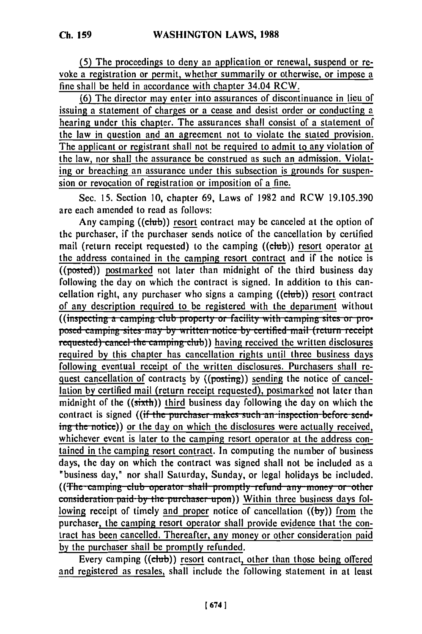(5) The proceedings to deny an application or renewal, suspend or revoke a registration or permit, whether summarily or otherwise, or impose a

**Ch. 159**

fine shall be held in accordance with chapter 34.04 RCW.

**(6)** The director may enter into assurances of discontinuance in lieu of issuing a statement **of** charges or a cease and desist order or conducting a hearing under this chapter. The assurances shall consist of a statement of the law in question and an agreement not to violate the stated provision. The applicant or registrant shall not be required to admit to any violation of the law, nor shall the assurance be construed as such an admission. Violating or breaching an assurance under this subsection is grounds for suspension or revocation of registration or imposition of a fine.

Sec. 15. Section 10, chapter 69, Laws of 1982 and RCW 19.105.390 arc each amended to read as follows:

Any camping ((chub)) resort contract may be canceled at the option of the purchaser, if the purchaser sends notice of the cancellation by certified mail (return receipt requested) to the camping ((cub)) resort operator at the address contained in the camping resort contract and if the notice is  $($ (posted)) postmarked not later than midnight of the third business day following the day on which the contract is signed. In addition to this cancellation right, any purchaser who signs a camping ((chub)) resort contract of any description required to be registered with the department without ((inspecting a camping club property or facility with camping sites or proposed camping sites may by written notice by certified mail (return receipt **requested) cancel the camping club)) having received the written disclosures** required by this chapter has cancellation rights until three business days following eventual receipt of the written disclosures. Purchasers shall request cancellation of contracts by ((posting)) sending the notice of cancellation by certified mail (return receipt requested), postmarked not later than midnight of the  $((sixth))$  third business day following the day on which the contract is signed ((if the purchaser makes such an inspection before sending the notice)) or the day on which the disclosures were actually received, whichever event is later to the camping resort operator at the address contained in the camping resort contract. In computing the number of business days, the day on which the contract was signed shall not be included as a "business day," nor shall Saturday, Sunday, or legal holidays be included. ((The camping club operator shall promptly refund any money or other consideration paid by the purchaser upon)) Within three business days following receipt of timely and proper notice of cancellation **((by))** from the purchaser, the camping resort operator shall provide evidence that the contract has been cancelled. Thereafter, any money or other consideration paid by the purchaser shall be promptly refunded.

Every camping ((chb)) resort contract, other than those being offered and registered as resales, shall include the following statement in at least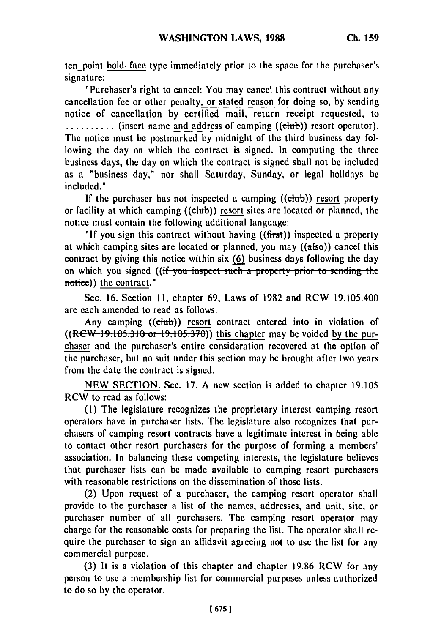ten-point bold-face type immediately prior to the space for the purchaser's signature:

"Purchaser's right to cancel: You may cancel this contract without any cancellation fee or other penalty, or stated reason for doing so, by sending notice of cancellation by certified mail, return receipt requested, to **..........** (insert name and address of camping ((chub)) resort operator). The notice must be postmarked by midnight of the third business day following the day on which the contract is signed. In computing the three business days, the day on which the contract is signed shall not be included as a "business day," nor shall Saturday, Sunday, or legal holidays be included."

If the purchaser has not inspected a camping ((chub)) resort property or facility at which camping ((club)) resort sites are located or planned, the notice must contain the following additional language:

**"If** you sign this contract without having ((first)) inspected a property at which camping sites are located or planned, you may  $((a\dot{b}a))$  cancel this contract by giving this notice within six **(6)** business days following the day on which you signed ((if you inspect such a property prior to sending the notice)) the contract."

Sec. 16. Section **11,** chapter 69, Laws of 1982 and RCW 19.105.400 are each amended to read as follows:

Any camping ((club)) resort contract entered into in violation of  $((R<sup>ew-19.105.310</sup> or 19.105.370))$  this chapter may be voided by the purchaser and the purchaser's entire consideration recovered at the option of the purchaser, but no suit under this section may be brought after two years from the date the contract is signed.

NEW SECTION. Sec. 17. A new section is added to chapter 19.105 RCW to read as follows:

(1) The legislature recognizes the proprietary interest camping resort operators have in purchaser lists. The legislature also recognizes that purchasers of camping resort contracts have a legitimate interest in being able to contact other resort purchasers for the purpose of forming a members' association. In balancing these competing interests, the legislature believes that purchaser lists can be made available to camping resort purchasers with reasonable restrictions on the dissemination of those lists.

(2) Upon request of a purchaser, the camping resort operator shall provide to the purchaser a list of the names, addresses, and unit, site, or purchaser number of all purchasers. The camping resort operator may charge for the reasonable costs for preparing the list. The operator shall require the purchaser to sign an affidavit agreeing not to use the list for any commercial purpose.

(3) It is a violation of this chapter and chapter 19.86 RCW for any person to use a membership list for commercial purposes unless authorized to do so by the operator.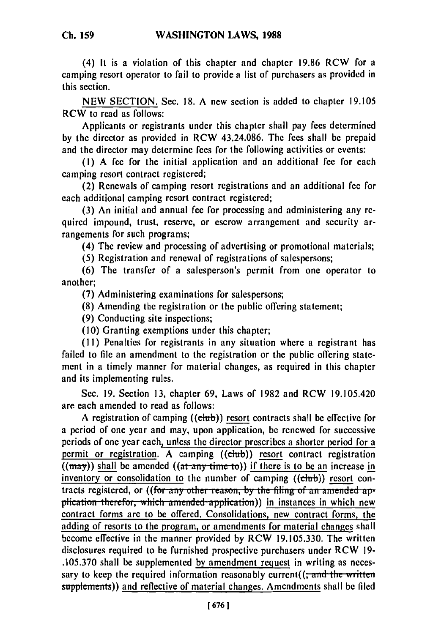(4) **It** is a violation of this chapter and chapter **19.86** RCW for a camping resort operator to fail to provide a list of purchasers as provided in this section.

**NEW SECTION.** Sec. **18. A** new section is added to chapter **19.105** RCW to read as follows:

Applicants or registrants under this chapter shall pay fees determined **by** the director as provided in RCW 43.24.086. The fees shall be prepaid and the director may determine fees for the following activities or events:

**(1) A** fee for the initial application and an additional fee for each camping resort contract registered;

(2) Renewals of camping resort registrations and an additional fee for each additional camping resort contract registered;

**(3)** An initial and annual fee for processing and administering any required impound, trust, reserve, or escrow arrangement and security arrangements for such programs;

(4) The review and processing of advertising or promotional materials;

**(5)** Registration and renewal of registrations of salespersons;

**(6)** The transfer of a salesperson's permit from one operator to another;

**(7)** Administering examinations for salespersons;

**(8)** Amending the registration or the public offering statement;

**(9)** Conducting site inspections;

**(10)** Granting exemptions under this chapter;

**(II)** Penalties for registrants in any situation where a registrant has failed to file an amendment to the registration or the public offering statement in a timely manner for material changes, as required in this chapter and its implementing rules.

Sec. **19.** Section **13,** chapter **69,** Laws of **1982** and RCW 19.105.420 are each amended to read as follows:

**A** registration of camping **((chb))** resort contracts shall be effective for a period of one year and may, upon application, be renewed for successive periods of one year each, unless the director prescribes a shorter period for a permit or registration. **A** camping ((chrb)) **resort** contract registration  $((\text{max}))$  shall be amended  $((\text{at-any-time to}))$  if there is to be an increase in inventory or consolidation to the number of camping **((dub)) resort** contracts registered, or ((for any other reason, by the filing of an amended application therefor, which amended application)) in instances in which new contract forms are to be offered. Consolidations, new contract forms, the adding of resorts to the program, or amendments for material changes shall become effective in the manner provided **by** RCW **19.105.330.** The written disclosures required to **be** furnished prospective purchasers under RCW **19- .105.370** shall **be** supplemented **by** amendment request in writing as necessary to keep the required information reasonably current( $\left(\frac{1}{x} \text{ and the written}\right)$ supplements)) and reflective of material changes. Amendments shall **be filed**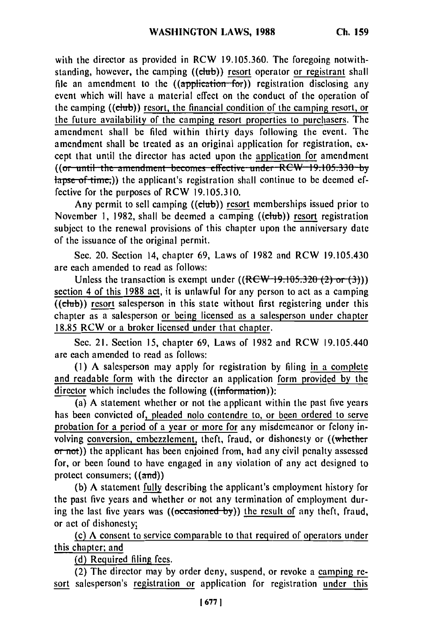with the director as provided in RCW 19.105.360. The foregoing notwithstanding, however, the camping ((club)) resort operator or registrant shall file an amendment to the  $((\text{application}$ -for)) registration disclosing any event which will have a material effect on the conduct of the operation of the camping ((club)) resort, the financial condition of the camping resort, or the future availability of the camping resort properties to purchasers. The amendment shall be filed within thirty days following the event. The amendment shall be treated as an original application for registration, except that until the director has acted upon the application for amendment ((or until the amendment becomes effective under RCW 19.105.330 by  $\frac{1}{2}$  apse of time<sub>r</sub>)) the applicant's registration shall continue to be deemed effective for the purposes of RCW **19.105.310.**

Any permit to sell camping  $((\text{elub}))$  resort memberships issued prior to November **1, 1982,** shall **be** deemed a camping ((club)) **resort** registration subject to the renewal provisions of this chapter upon the anniversary date of the issuance of **the** original permit.

Sec. 20. Section 14, chapter **69,** Laws of **1982** and RCW 19.105.430 are each amended to read as follows:

Unless the transaction is exempt under  $((RCW-19.105.320 (2) or (3)))$ section 4 of this 1988 act, it is unlawful for any person to act as a camping  $((ebub))$  resort salesperson in this state without first registering under this chapter as a salesperson or being licensed as a salesperson under chapter 18.85 RCW or a broker licensed under that chapter.

Sec. 21. Section 15, chapter 69, Laws of 1982 and RCW 19.105.440 are each amended to read as follows:

(1) A salesperson may apply for registration by filing in a complete and readable form with the director an application form provided **by** the director which includes the following  $(\mathbf{information})$ :

(a) A statement whether or not the applicant within the past five years has been convicted of, pleaded nolo contendre to, or been ordered to serve probation for a period of a year or more for any misdemeanor or felony involving conversion, embezzlement, theft, fraud, or dishonesty or ((whether or not)) the applicant has been enjoined from, had any civil penalty assessed for, or been found to have engaged in any violation of any act designed to protect consumers; ((and))

(b) A statement fully describing the applicant's employment history for the past five years and whether or not any termination of employment during the last five years was ((occasioned by)) the result of any theft, fraud, or act of dishonesty;

(c) A consent to service comparable to that required of operators under this chapter; and

(d) Required filing fees.

(2) The director may by order deny, suspend, or revoke a camping resort salesperson's registration or application for registration under this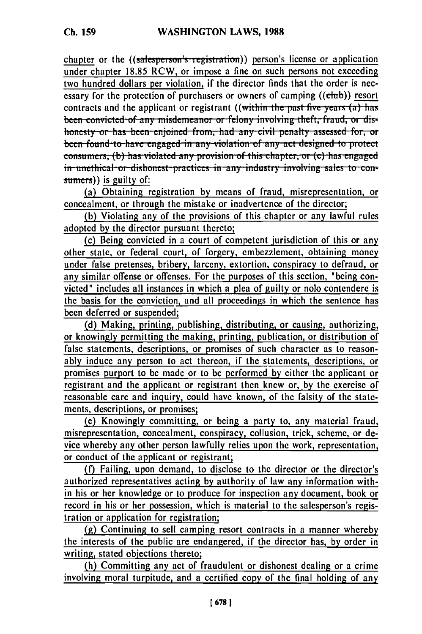chapter or the ((salesperson's registration)) person's license or application under chapter 18.85 RCW, or impose a fine on such persons not exceeding two hundred dollars per violation, if the director finds that the order is necessary for the protection of purchasers or owners of camping ((club)) resort contracts and the applicant or registrant ((within the past five years (a) has been convicted of any misdemeanor or felony involving theft, fraud, or dishonesty or has been enjoined from, had any civil penalty assessed for, or been found to have engaged in any violation of any act designed to protect consumers, (b) has violated any provision of this chapter, or (c) has engaged in unethical or dishonest practices in any industry involving sales to con- $\frac{1}{2}$  sumers)) is guilty of:

(a) Obtaining registration by means of fraud, misrepresentation, or concealment, or through the mistake or inadvertence of the director;

(b) Violating any of the provisions of this chapter or any lawful rules adopted by the director pursuant thereto;

(c) Being convicted in a court of competent jurisdiction of this or any other state, or federal court, of forgery, embezzlement, obtaining money under false pretenses, bribery, larceny, extortion, conspiracy to defraud, or any similar offense or offenses. For the purposes of this section, "being convicted" includes all instances in which a plea of guilty or nolo contendere is the basis for the conviction, and all proceedings in which the sentence has been deferred or suspended;

(d) Making, printing, publishing, distributing, or causing, authorizing, or knowingly permitting the making, printing, publication, or distribution of false statements, descriptions, or promises of such character as to reasonably induce any person to act thereon, if the statements, descriptions, or promises purport to be made or to be performed by either the applicant or registrant and the applicant or registrant then knew or, by the exercise of reasonable care and inquiry, could have known, of the falsity of the statements, descriptions, or promises;

(e) Knowingly committing, or being a party to, any material fraud, misrepresentation, concealment, conspiracy, collusion, trick, scheme, or device whereby any other person lawfully relies upon the work, representation, or conduct of the applicant or registrant;

(f) Failing, upon demand, to disclose to the director or the director's authorized representatives acting by authority of law any information within his or her knowledge or to produce for inspection any document, book or record in his or her possession, which is material to the salesperson's registration or application for registration;

(g) Continuing to sell camping resort contracts in a manner whereby the interests of the public are endangered, if the director has, by order in writing, stated objections thereto;

(h) Committing any act of fraudulent or dishonest dealing or a crime involving moral turpitude, and a certified copy of the final holding of any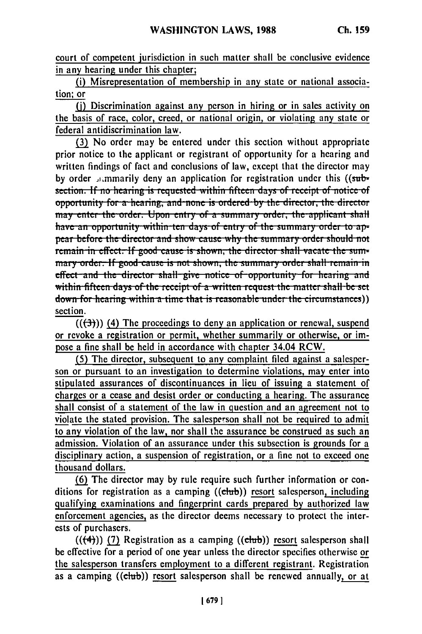court of competent jurisdiction in such matter shall be conclusive evidence in any hearing under this chapter;

(i) Misrepresentation of membership in any state or national association; or

(j) Discrimination against any person in hiring or in sales activity on the basis of race, color, creed, or national origin, or violating any state or federal antidiscrimination law.

(3) No order may be entered under this section without appropriate prior notice to the applicant or registrant of opportunity for a hearing and written findings of fact and conclusions of law, except that the director may by order *symmarily* deny an application for registration under this ((subsection. If no hearing is requested within fifteen days of receipt of notice of opportunity for a hearing, and none is ordered by the director, the director may enter the order. Upon entry of a summary order, the applicant shall have an opportunity within ten days of entry of the summary order to appear before the director and show cause why the summary order should not remain in effect. If good cause is shown, the director shall vacate the summary order. If good cause is not shown, the summary order shall remain in effect and the director shall give notice of opportunity for hearing and within fifteen days of the receipt of a written request the matter shall be set down for hearing within a time that is reasonable under the circumstances)) section.

 $((\rightarrow{3}))$  (4) The proceedings to deny an application or renewal, suspend or revoke a registration or permit, whether summarily or otherwise, or impose a fine shall be held in accordance with chapter 34.04 RCW.

(5) The director, subsequent to any complaint filed against a salesperson or pursuant to an investigation to determine violations, may enter into stipulated assurances of discontinuances in lieu of issuing a statement of charges or a cease and desist order or conducting a hearing. The assurance shall consist of a statement of the law in question and an agreement not to violate the stated provision. The salesperson shall not be required to admit to any violation of the law, nor shall the assurance be construed as such an admission. Violation of an assurance under this subsection is grounds for a disciplinary action, a suspension of registration, or a fine not to exceed one thousand dollars.

(6) The director may by rule require such further information or conditions for registration as a camping ((club)) resort salesperson, including qualifying examinations and fingerprint cards prepared by authorized law enforcement agencies, as the director deems necessary to protect the interests of purchasers.

 $((+4))$  (7) Registration as a camping  $((ebub))$  resort salesperson shall be effective for a period of one year unless the director specifies otherwise or the salesperson transfers employment to a different registrant. Registration as a camping ((club)) resort salesperson shall be renewed annually, or at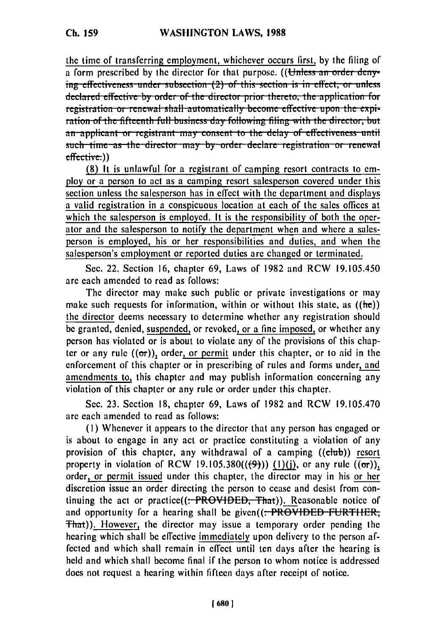the time of transferring employment, whichever occurs first, by the filing of a form prescribed by the director for that purpose. ((Unless an order denying effectiveness under subsection (2) of this section is in effect, or unless declared effective by order of the director prior thereto, the application for **1** registration or renewal shall automatically become effective upon the expir-<br> **1** ration of the fifteenth full business day following filing with the director, but an applicant or registrant may consent to the delay of effectiveness until such time as the director may by order declare registration or renewal effective.))

**(8)** It is unlawful for a registrant of camping resort contracts to employ or a person to act as a camping resort salesperson covered under this section unless the salesperson has in effect with the department and displays a valid registration in a conspicuous location at each of the sales offices at which the salesperson is employed. It is the responsibility of both the operator and the salesperson to notify the department when and where a salesperson is employed, his or her responsibilities and duties, and when the salesperson's employment or reported duties are changed or terminated.

Sec. 22. Section 16, chapter 69, Laws of 1982 and RCW 19.105.450 are each amended to read as follows:

The director may make such public or private investigations or may make such requests for information, within or without this state, as  $((he))$ the director deems necessary to determine whether any registration should be granted, denied, suspended, or revoked, or a fine imposed, or whether any person has violated or is about to violate any of the provisions of this chapter or any rule  $((\sigma r))$ , order, or permit under this chapter, or to aid in the enforcement of this chapter or in prescribing of rules and forms under, and amendments to, this chapter and may publish information concerning any violation of this chapter or any rule or order under this chapter.

Sec. 23. Section 18, chapter 69, Laws of 1982 and RCW 19.105.470 are each amended to read as follows:

**(1)** Whenever it appears to the director that any person has engaged or is about to engage in any act or practice constituting a violation of any provision of this chapter, any withdrawal of a camping ((club)) resort property in violation of RCW 19.105.380 $((9))$  (1)(j), or any rule  $((\sigma r))$ , order, or permit issued under this chapter, the director may in his or her discretion issue an order directing the person to cease and desist from continuing the act or practice( $(-PROV1DED, That)$ ). Reasonable notice of and opportunity for a hearing shall be given((: PROVIDED FURTHER, **That)**). However, the director may issue a temporary order pending the hearing which shall be effective immediately upon delivery to the person affected and which shall remain in effect until ten days after the hearing is held and which shall become final if the person to whom notice is addressed does not request a hearing within fifteen days after receipt of notice.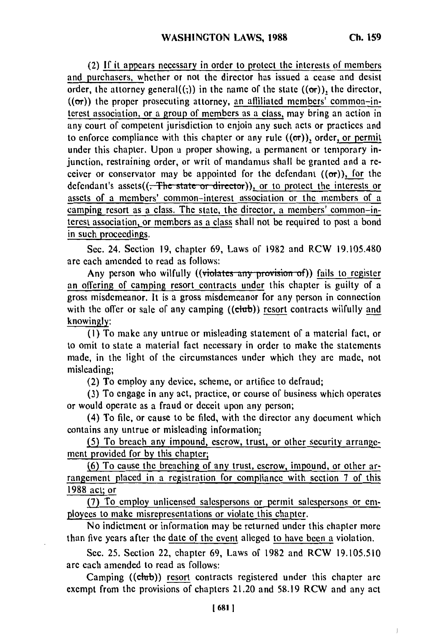(2) **If** it appears necessary in order to protect the interests of members and purchasers, whether or not the director has issued a cease and desist order, the attorney general((;)) in the name of the state  $((\sigma r))$ , the director,  $((\sigma r))$  the proper prosecuting attorney, an affiliated members' common-interest association, or a group of members as a class, may bring an action in any court of competent jurisdiction to enjoin any such acts or practices and to enforce compliance with this chapter or any rule  $((\sigma r))$ , order, or permit under this chapter. Upon a proper showing, a permanent or temporary injunction, restraining order, or writ of mandamus shall be granted and a receiver or conservator may be appointed for the defendant  $((\sigma r))$ , for the defendant's assets((<del>. The state or director</del>)), or to protect the interests or assets of a members' common-interest association or the members of a camping resort as a class. The state, the director, a members' common-interest association, or members as a class shall not be required to post a bond in such proceedings.

Sec. 24. Section 19, chapter 69, Laws of 1982 and RCW 19.105.480 are each amended to read as follows:

Any person who wilfully ((violates any provision of)) fails to register an offering of camping resort contracts under this chapter is guilty of a gross misdemeanor. It is a gross misdemeanor for any person in connection with the offer or sale of any camping ((club)) resort contracts wilfully and knowingly:

**(I)** To make any untrue or misleading statement of a material fact, or to omit to state a material fact necessary in order to make the statements made, in the light of the circumstances under which they are made, not misleading;

(2) To employ any device, scheme, or artifice to defraud;

(3) To engage in any act, practice, or course of business which operates or would operate as a fraud or deceit upon any person;

(4) To file, or cause to be filed, with the director any document which contains any untrue or misleading information;

(5) To breach any impound, escrow, trust, or other security arrangement provided for **by** this chapter;

**(6)** To cause the breaching of any trust, escrow, impound, or other arrangement placed in a registration for compliance with section **7** of this **1988 act;** or

**(7)** To employ unlicensed salespersons or permit salespersons or **em**ployees to make misrepresentations or violate this chapter.

No indictment or information may **be** returned under this chapter more than five years after the date of the event alleged to have been a violation.

Sec. **25.** Section 22, chapter **69,** Laws of **1982** and RCW **19.105.510** are each amended to read as follows:

Camping ((club)) resort contracts registered under this chapter are exempt from the provisions of chapters 21.20 and **58.19** RCW and any act